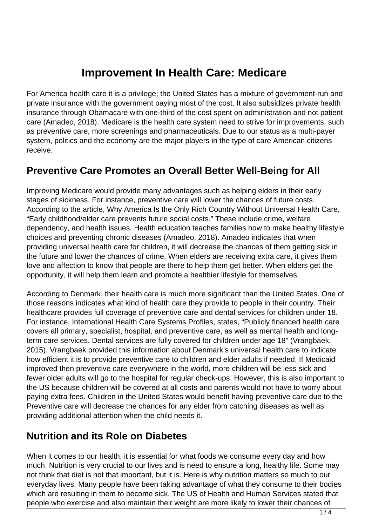# **Improvement In Health Care: Medicare**

For America health care it is a privilege; the United States has a mixture of government-run and private insurance with the government paying most of the cost. It also subsidizes private health insurance through Obamacare with one-third of the cost spent on administration and not patient care (Amadeo, 2018). Medicare is the health care system need to strive for improvements, such as preventive care, more screenings and pharmaceuticals. Due to our status as a multi-payer system, politics and the economy are the major players in the type of care American citizens receive.

#### **Preventive Care Promotes an Overall Better Well-Being for All**

Improving Medicare would provide many advantages such as helping elders in their early stages of sickness. For instance, preventive care will lower the chances of future costs. According to the article, Why America Is the Only Rich Country Without Universal Health Care, "Early childhood/elder care prevents future social costs." These include crime, welfare dependency, and health issues. Health education teaches families how to make healthy lifestyle choices and preventing chronic diseases (Amadeo, 2018). Amadeo indicates that when providing universal health care for children, it will decrease the chances of them getting sick in the future and lower the chances of crime. When elders are receiving extra care, it gives them love and affection to know that people are there to help them get better. When elders get the opportunity, it will help them learn and promote a healthier lifestyle for themselves.

According to Denmark, their health care is much more significant than the United States. One of those reasons indicates what kind of health care they provide to people in their country. Their healthcare provides full coverage of preventive care and dental services for children under 18. For instance, International Health Care Systems Profiles, states, "Publicly financed health care covers all primary, specialist, hospital, and preventive care, as well as mental health and longterm care services. Dental services are fully covered for children under age 18" (Vrangbaek, 2015). Vrangbaek provided this information about Denmark's universal health care to indicate how efficient it is to provide preventive care to children and elder adults if needed. If Medicaid improved then preventive care everywhere in the world, more children will be less sick and fewer older adults will go to the hospital for regular check-ups. However, this is also important to the US because children will be covered at all costs and parents would not have to worry about paying extra fees. Children in the United States would benefit having preventive care due to the Preventive care will decrease the chances for any elder from catching diseases as well as providing additional attention when the child needs it.

### **Nutrition and its Role on Diabetes**

When it comes to our health, it is essential for what foods we consume every day and how much. Nutrition is very crucial to our lives and is need to ensure a long, healthy life. Some may not think that diet is not that important, but it is. Here is why nutrition matters so much to our everyday lives. Many people have been taking advantage of what they consume to their bodies which are resulting in them to become sick. The US of Health and Human Services stated that people who exercise and also maintain their weight are more likely to lower their chances of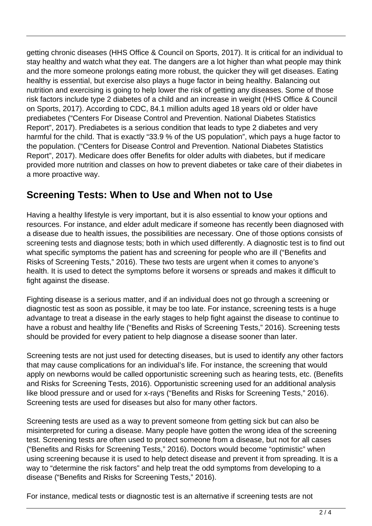getting chronic diseases (HHS Office & Council on Sports, 2017). It is critical for an individual to stay healthy and watch what they eat. The dangers are a lot higher than what people may think and the more someone prolongs eating more robust, the quicker they will get diseases. Eating healthy is essential, but exercise also plays a huge factor in being healthy. Balancing out nutrition and exercising is going to help lower the risk of getting any diseases. Some of those risk factors include type 2 diabetes of a child and an increase in weight (HHS Office & Council on Sports, 2017). According to CDC, 84.1 million adults aged 18 years old or older have prediabetes ("Centers For Disease Control and Prevention. National Diabetes Statistics Report", 2017). Prediabetes is a serious condition that leads to type 2 diabetes and very harmful for the child. That is exactly "33.9 % of the US population", which pays a huge factor to the population. ("Centers for Disease Control and Prevention. National Diabetes Statistics Report", 2017). Medicare does offer Benefits for older adults with diabetes, but if medicare provided more nutrition and classes on how to prevent diabetes or take care of their diabetes in a more proactive way.

### **Screening Tests: When to Use and When not to Use**

Having a healthy lifestyle is very important, but it is also essential to know your options and resources. For instance, and elder adult medicare if someone has recently been diagnosed with a disease due to health issues, the possibilities are necessary. One of those options consists of screening tests and diagnose tests; both in which used differently. A diagnostic test is to find out what specific symptoms the patient has and screening for people who are ill ("Benefits and Risks of Screening Tests," 2016). These two tests are urgent when it comes to anyone's health. It is used to detect the symptoms before it worsens or spreads and makes it difficult to fight against the disease.

Fighting disease is a serious matter, and if an individual does not go through a screening or diagnostic test as soon as possible, it may be too late. For instance, screening tests is a huge advantage to treat a disease in the early stages to help fight against the disease to continue to have a robust and healthy life ("Benefits and Risks of Screening Tests," 2016). Screening tests should be provided for every patient to help diagnose a disease sooner than later.

Screening tests are not just used for detecting diseases, but is used to identify any other factors that may cause complications for an individual's life. For instance, the screening that would apply on newborns would be called opportunistic screening such as hearing tests, etc. (Benefits and Risks for Screening Tests, 2016). Opportunistic screening used for an additional analysis like blood pressure and or used for x-rays ("Benefits and Risks for Screening Tests," 2016). Screening tests are used for diseases but also for many other factors.

Screening tests are used as a way to prevent someone from getting sick but can also be misinterpreted for curing a disease. Many people have gotten the wrong idea of the screening test. Screening tests are often used to protect someone from a disease, but not for all cases ("Benefits and Risks for Screening Tests," 2016). Doctors would become "optimistic" when using screening because it is used to help detect disease and prevent it from spreading. It is a way to "determine the risk factors" and help treat the odd symptoms from developing to a disease ("Benefits and Risks for Screening Tests," 2016).

For instance, medical tests or diagnostic test is an alternative if screening tests are not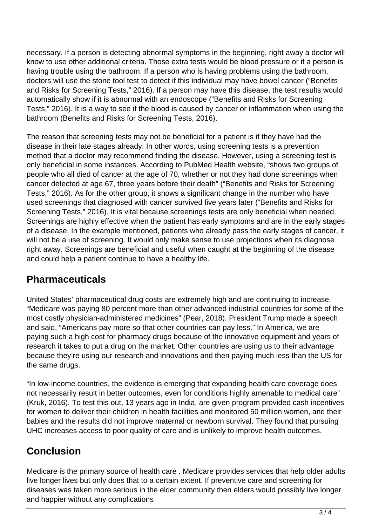necessary. If a person is detecting abnormal symptoms in the beginning, right away a doctor will know to use other additional criteria. Those extra tests would be blood pressure or if a person is having trouble using the bathroom. If a person who is having problems using the bathroom, doctors will use the stone tool test to detect if this individual may have bowel cancer ("Benefits and Risks for Screening Tests," 2016). If a person may have this disease, the test results would automatically show if it is abnormal with an endoscope ("Benefits and Risks for Screening Tests," 2016). It is a way to see if the blood is caused by cancer or inflammation when using the bathroom (Benefits and Risks for Screening Tests, 2016).

The reason that screening tests may not be beneficial for a patient is if they have had the disease in their late stages already. In other words, using screening tests is a prevention method that a doctor may recommend finding the disease. However, using a screening test is only beneficial in some instances. According to PubMed Health website, "shows two groups of people who all died of cancer at the age of 70, whether or not they had done screenings when cancer detected at age 67, three years before their death" ("Benefits and Risks for Screening Tests," 2016). As for the other group, it shows a significant change in the number who have used screenings that diagnosed with cancer survived five years later ("Benefits and Risks for Screening Tests," 2016). It is vital because screenings tests are only beneficial when needed. Screenings are highly effective when the patient has early symptoms and are in the early stages of a disease. In the example mentioned, patients who already pass the early stages of cancer, it will not be a use of screening. It would only make sense to use projections when its diagnose right away. Screenings are beneficial and useful when caught at the beginning of the disease and could help a patient continue to have a healthy life.

### **Pharmaceuticals**

United States' pharmaceutical drug costs are extremely high and are continuing to increase. "Medicare was paying 80 percent more than other advanced industrial countries for some of the most costly physician-administered medicines" (Pear, 2018). President Trump made a speech and said, "Americans pay more so that other countries can pay less." In America, we are paying such a high cost for pharmacy drugs because of the innovative equipment and years of research it takes to put a drug on the market. Other countries are using us to their advantage because they're using our research and innovations and then paying much less than the US for the same drugs.

"In low-income countries, the evidence is emerging that expanding health care coverage does not necessarily result in better outcomes, even for conditions highly amenable to medical care" (Kruk, 2016). To test this out, 13 years ago in India, are given program provided cash incentives for women to deliver their children in health facilities and monitored 50 million women, and their babies and the results did not improve maternal or newborn survival. They found that pursuing UHC increases access to poor quality of care and is unlikely to improve health outcomes.

## **Conclusion**

Medicare is the primary source of health care . Medicare provides services that help older adults live longer lives but only does that to a certain extent. If preventive care and screening for diseases was taken more serious in the elder community then elders would possibly live longer and happier without any complications